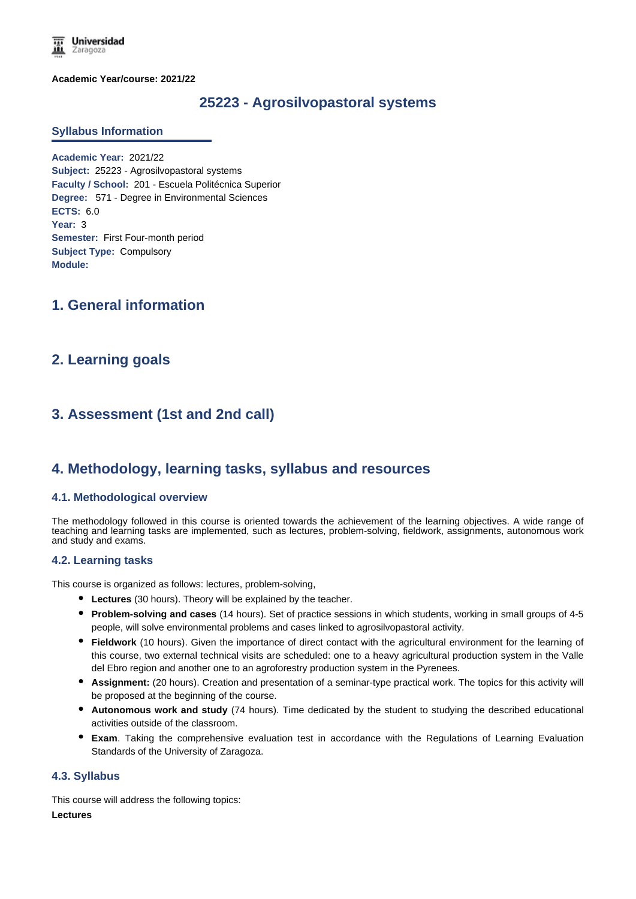**Universidad** Zaragoza

**Academic Year/course: 2021/22**

# **25223 - Agrosilvopastoral systems**

#### **Syllabus Information**

**Academic Year:** 2021/22 **Subject:** 25223 - Agrosilvopastoral systems **Faculty / School:** 201 - Escuela Politécnica Superior **Degree:** 571 - Degree in Environmental Sciences **ECTS:** 6.0 **Year:** 3 **Semester:** First Four-month period **Subject Type:** Compulsory **Module:**

# **1. General information**

# **2. Learning goals**

# **3. Assessment (1st and 2nd call)**

## **4. Methodology, learning tasks, syllabus and resources**

#### **4.1. Methodological overview**

The methodology followed in this course is oriented towards the achievement of the learning objectives. A wide range of teaching and learning tasks are implemented, such as lectures, problem-solving, fieldwork, assignments, autonomous work and study and exams.

#### **4.2. Learning tasks**

This course is organized as follows: lectures, problem-solving,

- **Lectures** (30 hours). Theory will be explained by the teacher.
- **Problem-solving and cases** (14 hours). Set of practice sessions in which students, working in small groups of 4-5 people, will solve environmental problems and cases linked to agrosilvopastoral activity.
- **Fieldwork** (10 hours). Given the importance of direct contact with the agricultural environment for the learning of this course, two external technical visits are scheduled: one to a heavy agricultural production system in the Valle del Ebro region and another one to an agroforestry production system in the Pyrenees.
- **Assignment:** (20 hours). Creation and presentation of a seminar-type practical work. The topics for this activity will be proposed at the beginning of the course.
- **Autonomous work and study** (74 hours). Time dedicated by the student to studying the described educational activities outside of the classroom.
- **Exam**. Taking the comprehensive evaluation test in accordance with the Regulations of Learning Evaluation Standards of the University of Zaragoza.

#### **4.3. Syllabus**

This course will address the following topics: **Lectures**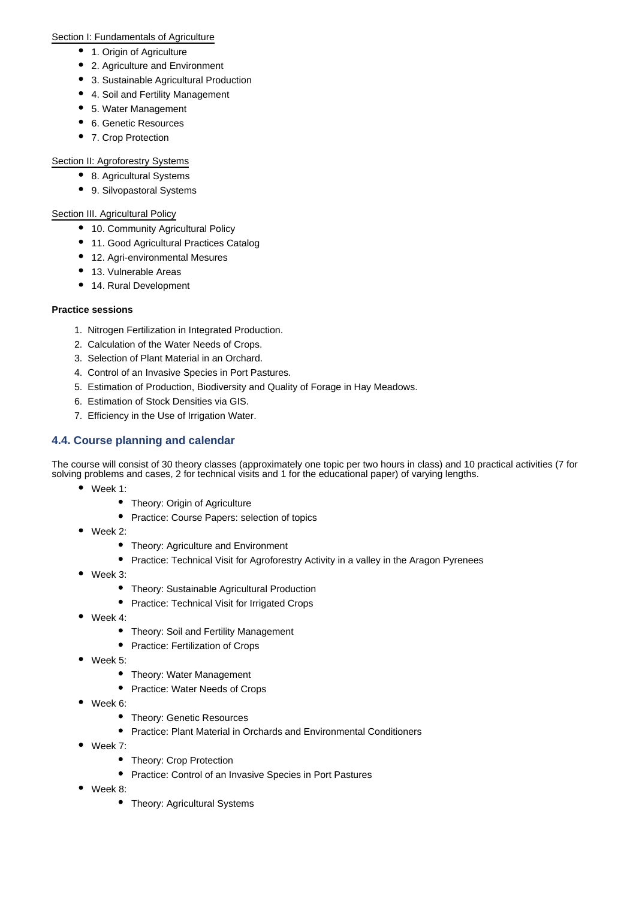#### Section I: Fundamentals of Agriculture

- 1. Origin of Agriculture
- 2. Agriculture and Environment
- 3. Sustainable Agricultural Production
- 4. Soil and Fertility Management
- 5. Water Management
- 6. Genetic Resources
- 7. Crop Protection

### Section II: Agroforestry Systems

- 8. Agricultural Systems
- 9. Silvopastoral Systems

## Section III. Agricultural Policy

- 10. Community Agricultural Policy
- 11. Good Agricultural Practices Catalog
- 12. Agri-environmental Mesures
- 13. Vulnerable Areas
- 14. Rural Development

### **Practice sessions**

- 1. Nitrogen Fertilization in Integrated Production.
- 2. Calculation of the Water Needs of Crops.
- 3. Selection of Plant Material in an Orchard.
- 4. Control of an Invasive Species in Port Pastures.
- 5. Estimation of Production, Biodiversity and Quality of Forage in Hay Meadows.
- 6. Estimation of Stock Densities via GIS.
- 7. Efficiency in the Use of Irrigation Water.

## **4.4. Course planning and calendar**

The course will consist of 30 theory classes (approximately one topic per two hours in class) and 10 practical activities (7 for solving problems and cases, 2 for technical visits and 1 for the educational paper) of varying lengths.

- Week 1:
	- Theory: Origin of Agriculture
	- Practice: Course Papers: selection of topics
- Week 2:
	- Theory: Agriculture and Environment
	- Practice: Technical Visit for Agroforestry Activity in a valley in the Aragon Pyrenees
- Week 3:
	- Theory: Sustainable Agricultural Production
	- Practice: Technical Visit for Irrigated Crops
- Week 4:
	- Theory: Soil and Fertility Management
	- Practice: Fertilization of Crops
- Week 5:
	- Theory: Water Management
	- Practice: Water Needs of Crops
- Week 6:
	- Theory: Genetic Resources
	- Practice: Plant Material in Orchards and Environmental Conditioners
- Week 7:
	- Theory: Crop Protection
	- Practice: Control of an Invasive Species in Port Pastures
- Week 8:
	- Theory: Agricultural Systems